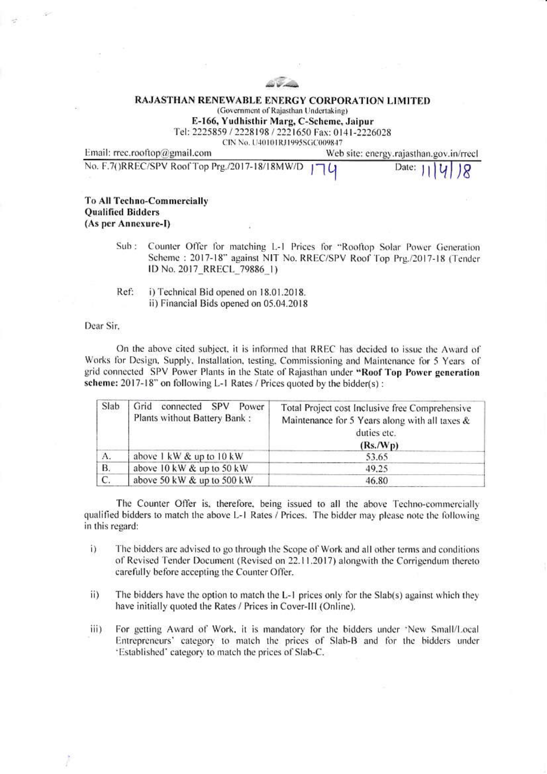RAJASTHAN RENEWABLE ENERGY CORPORATION LIMITED (Government of Rajasthan Undertaking) E-166, Yudhisthir Marg, C-Scheme, Jaipur Tel: 2225859 / 2228198 / 2221650 Fax: 0141-2226028 CIN No. U40101RJ1995SGC009847

| Email: rrec.rooftop@gmail.com                      | Web site: energy.rajasthan.gov.in/rrecl |
|----------------------------------------------------|-----------------------------------------|
| No. F.7()RREC/SPV Roof Top Prg./2017-18/18MW/D J U | Date: $11 4 8$                          |
| <b>To All Techno-Commercially</b>                  |                                         |

## **Oualified Bidders** (As per Annexure-I)

 $Sub:$ Counter Offer for matching L-1 Prices for "Rooftop Solar Power Generation Scheme: 2017-18" against NIT No. RREC/SPV Roof Top Prg./2017-18 (Tender ID No. 2017 RRECL 79886 1)

Ref: i) Technical Bid opened on 18.01.2018. ii) Financial Bids opened on 05.04.2018

Dear Sir.

On the above cited subject, it is informed that RREC has decided to issue the Award of Works for Design, Supply, Installation, testing, Commissioning and Maintenance for 5 Years of grid connected SPV Power Plants in the State of Rajasthan under "Roof Top Power generation scheme: 2017-18" on following L-1 Rates / Prices quoted by the bidder(s):

| Slab                                                    | Grid<br>connected<br>SPV<br>Power<br>Plants without Battery Bank: | Total Project cost Inclusive free Comprehensive<br>Maintenance for 5 Years along with all taxes &<br>duties etc.<br>(Rs/Wp) |
|---------------------------------------------------------|-------------------------------------------------------------------|-----------------------------------------------------------------------------------------------------------------------------|
| A.                                                      | above 1 kW & up to 10 kW                                          | 53.65                                                                                                                       |
| $\begin{array}{c} \mathbf{B} \\ \mathbf{C} \end{array}$ | above 10 kW & up to 50 kW                                         | 49.25                                                                                                                       |
|                                                         | above 50 kW & up to 500 kW                                        | 46.80                                                                                                                       |

The Counter Offer is, therefore, being issued to all the above Techno-commercially qualified bidders to match the above L-1 Rates / Prices. The bidder may please note the following in this regard:

- $i)$ The bidders are advised to go through the Scope of Work and all other terms and conditions of Revised Tender Document (Revised on 22.11.2017) alongwith the Corrigendum thereto carefully before accepting the Counter Offer.
- ii) The bidders have the option to match the L-1 prices only for the Slab(s) against which they have initially quoted the Rates / Prices in Cover-III (Online).
- For getting Award of Work, it is mandatory for the bidders under 'New Small/Local iii) Entrepreneurs' category to match the prices of Slab-B and for the bidders under 'Established' category to match the prices of Slab-C.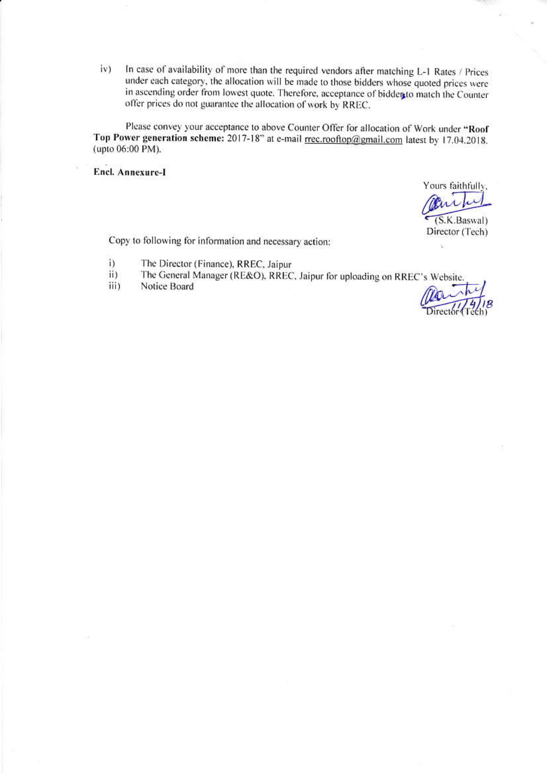In case of availability of more than the required vendors after matching L-1 Rates / Prices  $iv)$ under each category, the allocation will be made to those bidders whose quoted prices were in ascending order from lowest quote. Therefore, acceptance of biddento match the Counter offer prices do not guarantee the allocation of work by RREC.

Please convey your acceptance to above Counter Offer for allocation of Work under "Roof Top Power generation scheme: 2017-18" at e-mail rrec.rooftop@gmail.com latest by 17.04.2018. (upto 06:00 PM).

Encl. Annexure-I

Yours faithfully,

(S.K.Baswal) Director (Tech) à.

Copy to following for information and necessary action:

- $i)$ The Director (Finance), RREC, Jaipur
- The General Manager (RE&O), RREC, Jaipur for uploading on RREC's Website. ii)
- iii) Notice Board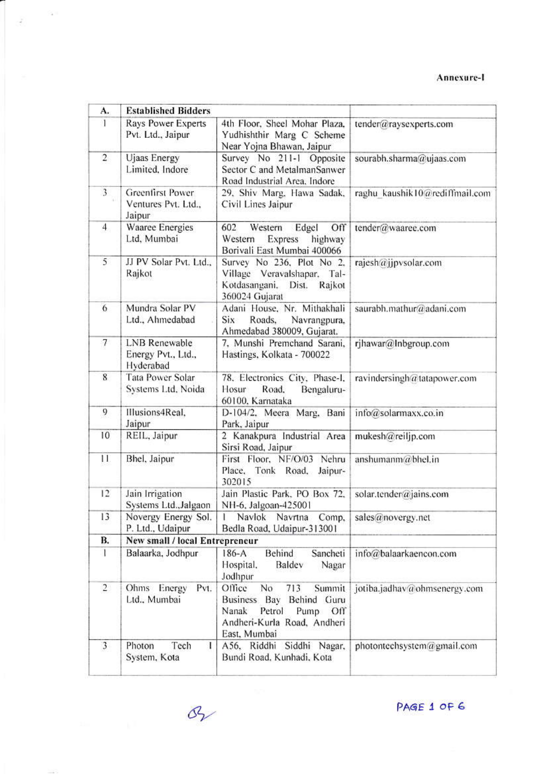## Annexure-I

| A.             | <b>Established Bidders</b>                               |                                                                                                                                               |                                |
|----------------|----------------------------------------------------------|-----------------------------------------------------------------------------------------------------------------------------------------------|--------------------------------|
| 1              | Rays Power Experts<br>Pvt. Ltd., Jaipur                  | 4th Floor, Sheel Mohar Plaza,<br>Yudhishthir Marg C Scheme<br>Near Yojna Bhawan, Jaipur                                                       | tender@raysexperts.com         |
| $\overline{c}$ | Ujaas Energy<br>Limited, Indore                          | Survey No 211-1 Opposite<br>Sector C and MetalmanSanwer<br>Road Industrial Area, Indore                                                       | sourabh.sharma@ujaas.com       |
| 3              | <b>Greenfirst Power</b><br>Ventures Pvt. Ltd.,<br>Jaipur | 29, Shiv Marg, Hawa Sadak,<br>Civil Lines Jaipur                                                                                              | raghu kaushik10@rediffmail.com |
| $\overline{4}$ | <b>Waaree Energies</b><br>Ltd, Mumbai                    | Off<br>602<br>Western<br>Edgel<br>Western<br>Express highway<br>Borivali East Mumbai 400066                                                   | tender@waaree.com              |
| 5              | JJ PV Solar Pvt. Ltd.,<br>Rajkot                         | Survey No 236, Plot No 2.<br>Village Veravalshapar, Tal-<br>Kotdasangani, Dist. Rajkot<br>360024 Gujarat                                      | rajesh $a$ jjpvsolar.com       |
| 6              | Mundra Solar PV<br>Ltd., Ahmedabad                       | Adani House, Nr. Mithakhali<br>Six<br>Roads,<br>Navrangpura.<br>Ahmedabad 380009, Gujarat.                                                    | saurabh.mathur@adani.com       |
| 7              | LNB Renewable<br>Energy Pvt., Ltd.,<br>Hyderabad         | 7, Munshi Premchand Sarani,<br>Hastings, Kolkata - 700022                                                                                     | rjhawar@Inbgroup.com           |
| 8              | Tata Power Solar<br>Systems Ltd, Noida                   | 78. Electronics City, Phase-I,<br>Road.<br>Hosur<br>Bengaluru-<br>60100, Karnataka                                                            | ravindersingh@tatapower.com    |
| 9              | Illusions4Real,<br>Jaipur                                | D-104/2, Meera Marg, Bani<br>Park, Jaipur                                                                                                     | info@solarmaxx.co.in           |
| 10             | REIL, Jaipur                                             | 2 Kanakpura Industrial Area<br>Sirsi Road, Jaipur                                                                                             | mukesh@reiljp.com              |
| 11.            | Bhel, Jaipur                                             | First Floor, NF/O/03 Nehru<br>Place, Tonk Road,<br>Jaipur-<br>302015                                                                          | anshumanm@bhel.in              |
| 12             | Jain Irrigation<br>Systems Ltd., Jalgaon                 | Jain Plastic Park, PO Box 72,<br>NH-6, Jalgoan-425001                                                                                         | solar.tender@jains.com         |
| 13             | Novergy Energy Sol.<br>P. Ltd., Udaipur                  | 1 Navlok Navrtna Comp, sales@novergy.net<br>Bedla Road, Udaipur-313001                                                                        |                                |
| B.             | New small / local Entrepreneur                           |                                                                                                                                               |                                |
| 1              | Balaarka, Jodhpur                                        | 186-A<br>Behind<br>Sancheti<br>Hospital.<br>Baldev<br>Nagar<br>Jodhpur                                                                        | info@balaarkaencon.com         |
| $\overline{c}$ | Energy<br>Ohms<br>Pvt.<br>Ltd., Mumbai                   | No<br>Office<br>713<br>Summit<br>Business Bay<br>Behind Guru<br>Pump<br>Nanak<br>Petrol<br>Off<br>Andheri-Kurla Road, Andheri<br>East, Mumbai | jotiba.jadhav@ohmsenergy.com   |
| 3              | Photon<br>Tech<br>1<br>System, Kota                      | A56, Riddhi<br>Siddhi Nagar,<br>Bundi Road, Kunhadi, Kota                                                                                     | photontechsystem@gmail.com     |

 $\mathcal{B}_{\mathcal{V}}$ 

ä

ż

PAGE 1 OF 6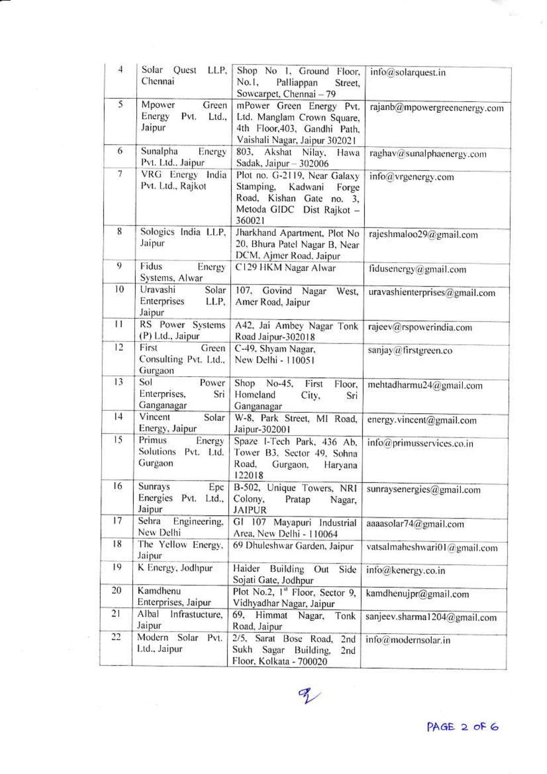| $\overline{4}$ | Solar Quest<br>LLP.<br>Chennai                       | Shop No 1, Ground Floor,<br>No.1.<br>Palliappan<br>Street,                                                                                         | info@solarquest.in            |
|----------------|------------------------------------------------------|----------------------------------------------------------------------------------------------------------------------------------------------------|-------------------------------|
| 5              | Mpower<br>Green<br>Energy<br>Pvt.<br>Ltd.,<br>Jaipur | Sowcarpet, Chennai - 79<br>mPower Green Energy Pvt.<br>Ltd. Manglam Crown Square,<br>4th Floor, 403, Gandhi Path.<br>Vaishali Nagar, Jaipur 302021 | rajanb@mpowergreenenergy.com  |
| 6              | Sunalpha<br>Energy<br>Pvt. Ltd., Jaipur              | Akshat<br>803.<br>Nilay,<br>Hawa<br>Sadak, Jaipur - 302006                                                                                         | raghav@sunalphaenergy.com     |
| $\overline{7}$ | VRG Energy India<br>Pvt. Ltd., Rajkot                | Plot no. G-2119, Near Galaxy<br>Stamping, Kadwani<br>Forge<br>Road, Kishan Gate no. 3,<br>Metoda GIDC Dist Rajkot -<br>360021                      | info@vrgenergy.com            |
| 8              | Sologics India LLP,<br>Jaipur                        | Jharkhand Apartment, Plot No<br>20, Bhura Patel Nagar B, Near<br>DCM, Ajmer Road, Jaipur                                                           | rajeshmaloo29@gmail.com       |
| 9              | Fidus<br>Energy<br>Systems, Alwar                    | C129 HKM Nagar Alwar                                                                                                                               | fidusenergy@gmail.com         |
| 10             | Uravashi<br>Solar<br>Enterprises<br>LLP,<br>Jaipur   | 107, Govind Nagar<br>West,<br>Amer Road, Jaipur                                                                                                    | uravashienterprises@gmail.com |
| $\mathbf{1}$   | RS Power Systems<br>(P) Ltd., Jaipur                 | A42, Jai Ambey Nagar Tonk<br>Road Jaipur-302018                                                                                                    | rajeev@rspowerindia.com       |
| 12             | First<br>Green<br>Consulting Pvt. Ltd.,<br>Gurgaon   | C-49. Shyam Nagar,<br>New Delhi - 110051                                                                                                           | sanjay@firstgreen.co          |
| 13             | Sol<br>Power<br>Enterprises,<br>Sri<br>Ganganagar    | Shop No-45,<br>First<br>Floor,<br>Homeland<br>City.<br>Sri<br>Ganganagar                                                                           | mehtadharmu24@gmail.com       |
| 4              | Vincent<br>Solar<br>Energy, Jaipur                   | W-8, Park Street, MI Road,<br>Jaipur-302001                                                                                                        | energy.vincent@gmail.com      |
| 15             | Primus<br>Energy<br>Solutions Pvt. Ltd.<br>Gurgaon   | Spaze I-Tech Park, 436 Ab,<br>Tower B3, Sector 49, Sohna<br>Road.<br>Gurgaon,<br>Haryana<br>122018                                                 | info@primusservices.co.in     |
| 16             | Sunrays<br>Epc<br>Energies Pvt. Ltd.,<br>Jaipur      | B-502, Unique Towers, NRI<br>Colony,<br>Pratap<br>Nagar,<br><b>JAIPUR</b>                                                                          | sunraysenergies@gmail.com     |
| 17             | Sehra<br>Engineering,<br>New Delhi                   | GI 107 Mayapuri Industrial<br>Area, New Delhi - 110064                                                                                             | aaaasolar74@gmail.com         |
| 18             | The Yellow Energy,<br>Jaipur                         | 69 Dhuleshwar Garden, Jaipur                                                                                                                       | vatsalmaheshwari01@gmail.com  |
| 19             | K Energy, Jodhpur                                    | Haider<br>Building<br>Out<br>Side<br>Sojati Gate, Jodhpur                                                                                          | info@kenergy.co.in            |
| 20             | Kamdhenu<br>Enterprises, Jaipur                      | Plot No.2, 1st Floor, Sector 9,<br>Vidhyadhar Nagar, Jaipur                                                                                        | kamdhenujpr@gmail.com         |
| 21             | Albal<br>Infrastucture,<br>Jaipur                    | 69, Himmat<br>Nagar,<br>Tonk<br>Road, Jaipur                                                                                                       | sanjeev.sharma1204@gmail.com  |
| 22             | Modern Solar<br>Pvt.<br>Ltd., Jaipur                 | 2/5. Sarat Bose Road,<br>2nd<br>Sukh Sagar Building,<br>2 <sub>nd</sub><br>Floor, Kolkata - 700020                                                 | info@modernsolar.in           |

 $\mathcal{P}$ 

×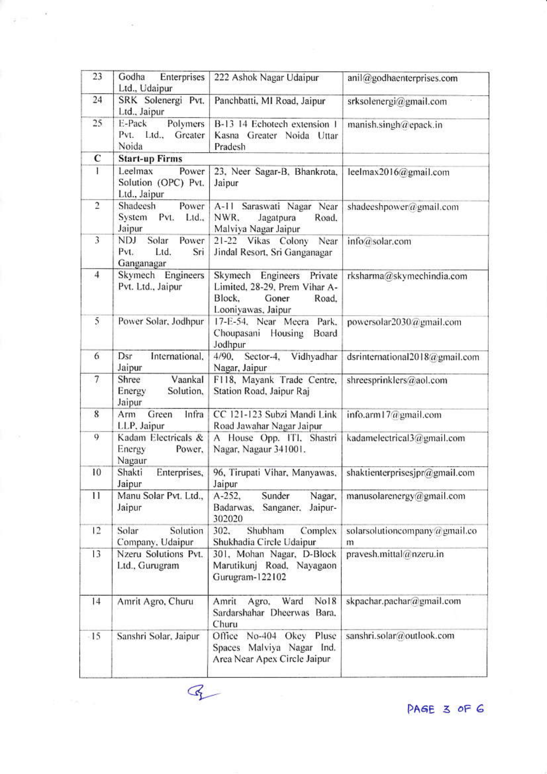| 23             | Godha<br><b>Enterprises</b><br>Ltd., Udaipur            | 222 Ashok Nagar Udaipur                                                                                      | anil@godhaenterprises.com          |
|----------------|---------------------------------------------------------|--------------------------------------------------------------------------------------------------------------|------------------------------------|
| 24             | SRK Solenergi Pvt.<br>Ltd., Jaipur                      | Panchbatti, MI Road, Jaipur                                                                                  | srksolenergi@gmail.com             |
| 25             | Polymers<br>E-Pack<br>Pvt. Ltd.,<br>Greater<br>Noida    | B-13 14 Echotech extension 1<br>Kasna Greater Noida Uttar<br>Pradesh                                         | manish.singh@epack.in              |
| C              | <b>Start-up Firms</b>                                   |                                                                                                              |                                    |
| $\mathbf{I}$   | Leelmax<br>Power<br>Solution (OPC) Pvt.<br>Ltd., Jaipur | 23, Neer Sagar-B, Bhankrota,<br>Jaipur                                                                       | leelmax2016@gmail.com              |
| $\overline{2}$ | Shadeesh<br>Power<br>System<br>Pvt.<br>Ltd.,<br>Jaipur  | A-11 Saraswati Nagar Near<br>NWR.<br>Jagatpura<br>Road.<br>Malviya Nagar Jaipur                              | shadeeshpower@gmail.com            |
| 3              | NDJ Solar<br>Power<br>Pvt.<br>Ltd.<br>Sri<br>Ganganagar | 21-22 Vikas Colony Near<br>Jindal Resort, Sri Ganganagar                                                     | info@solar.com                     |
| $\overline{4}$ | Skymech Engineers<br>Pvt. Ltd., Jaipur                  | Skymech Engineers Private<br>Limited, 28-29, Prem Vihar A-<br>Block.<br>Goner<br>Road,<br>Looniyawas, Jaipur | rksharma@skymechindia.com          |
| 5              | Power Solar, Jodhpur                                    | 17-E-54, Near Meera Park,<br>Choupasani Housing<br>Board<br>Jodhpur                                          | powersolar2030@gmail.com           |
| 6              | International,<br>Dsr<br>Jaipur                         | 4/90, Sector-4, Vidhyadhar<br>Nagar, Jaipur                                                                  | dsrinternational2018@gmail.com     |
| $\tau$         | Vaankal<br>Shree<br>Energy<br>Solution,<br>Jaipur       | F118, Mayank Trade Centre,<br>Station Road, Jaipur Raj                                                       | shreesprinklers@aol.com            |
| 8              | Green<br>Infra<br>Arm<br>LLP, Jaipur                    | CC 121-123 Subzi Mandi Link<br>Road Jawahar Nagar Jaipur                                                     | info.arm17@gmail.com               |
| 9              | Kadam Electricals &<br>Energy<br>Power,<br>Nagaur       | A House Opp. ITI, Shastri<br>Nagar, Nagaur 341001.                                                           | kadamelectrical3@gmail.com         |
| 10             | Shakti<br>Enterprises,<br>Jaipur                        | 96, Tirupati Vihar, Manyawas,<br>Jaipur                                                                      | shaktienterprisesjpr@gmail.com     |
| $_{11}$        | Manu Solar Pvt. Ltd.,<br>Jaipur                         | Sunder<br>Nagar,<br>$A - 252$<br>Badarwas.<br>Sanganer.<br>Jaipur-<br>302020                                 | manusolarenergy@gmail.com          |
| 12             | Solar<br>Solution<br>Company, Udaipur                   | 302.<br><b>Shubham</b><br>Complex<br>Shukhadia Circle Udaipur                                                | solarsolutioncompany@gmail.co<br>m |
| 13             | Nzeru Solutions Pvt.<br>Ltd., Gurugram                  | 301, Mohan Nagar, D-Block<br>Marutikunj Road, Nayagaon<br>Gurugram-122102                                    | pravesh.mittal@nzeru.in            |
| 14             | Amrit Agro, Churu                                       | No18<br>Amrit<br>Ward<br>Agro,<br>Sardarshahar Dheerwas Bara.<br>Churu                                       | skpachar.pachar@gmail.com          |
| $-15$          | Sanshri Solar, Jaipur                                   | Pluse<br>Office<br>No-404 Okey<br>Spaces Malviya Nagar Ind.<br>Area Near Apex Circle Jaipur                  | sanshri.solar@outlook.com          |

 $G$ 

 $\alpha = 10^{-10}$ 

 $\sim$ 

PAGE 3 OF 6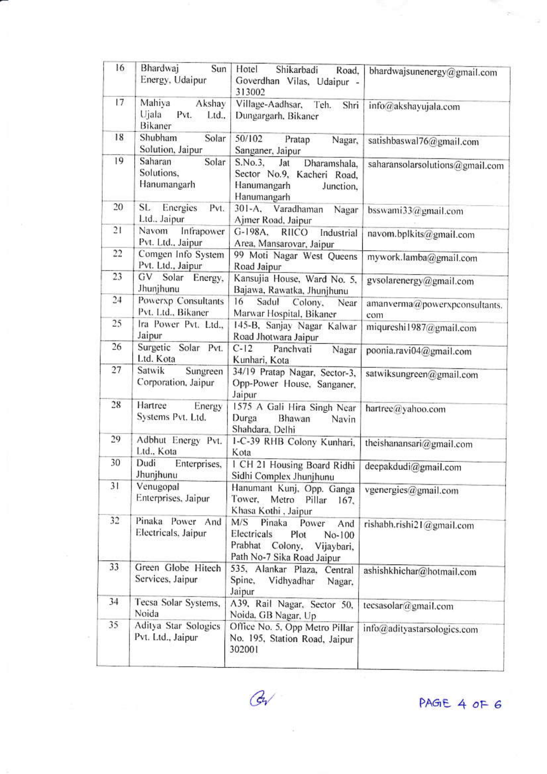| 16 | Bhardwaj<br>Sun<br>Energy, Udaipur                    | Hotel<br>Shikarbadi<br>Road,<br>Goverdhan Vilas, Udaipur -<br>313002                                                          | bhardwajsunenergy@gmail.com          |
|----|-------------------------------------------------------|-------------------------------------------------------------------------------------------------------------------------------|--------------------------------------|
| 17 | Mahiya<br>Akshay<br>Ujala<br>Pvt.<br>Ltd.,<br>Bikaner | Village-Aadhsar,<br>Teh.<br>Shri<br>Dungargarh, Bikaner                                                                       | info@akshayujala.com                 |
| 18 | Shubham<br>Solar<br>Solution, Jaipur                  | 50/102<br>Pratap<br>Nagar,<br>Sanganer, Jaipur                                                                                | satishbaswal76@gmail.com             |
| 19 | Saharan<br>Solar<br>Solutions.<br>Hanumangarh         | S.No.3,<br>Jat<br>Dharamshala,<br>Sector No.9, Kacheri Road,<br>Hanumangarh<br>Junction,<br>Hanumangarh                       | saharansolarsolutions@gmail.com      |
| 20 | SL.<br>Energies<br>Pvt.<br>Ltd., Jaipur               | 301-A, Varadhaman<br>Nagar<br>Ajmer Road, Jaipur                                                                              | bsswami33@gmail.com                  |
| 21 | Navom<br>Infrapower<br>Pvt. Ltd., Jaipur              | G-198A.<br>RIICO<br>Industrial<br>Area, Mansarovar, Jaipur                                                                    | navom.bplkits@gmail.com              |
| 22 | Comgen Info System<br>Pvt. Ltd., Jaipur               | 99 Moti Nagar West Queens<br>Road Jaipur                                                                                      | mywork.lamba@gmail.com               |
| 23 | GV Solar Energy,<br>Jhunjhunu                         | Kansujia House, Ward No. 5,<br>Bajawa, Rawatka, Jhunjhunu                                                                     | gvsolarenergy@gmail.com              |
| 24 | Powerxp Consultants<br>Pvt. Ltd., Bikaner             | 16<br>Sadul<br>Colony,<br>Near<br>Marwar Hospital, Bikaner                                                                    | amanverma@powerxpconsultants.<br>com |
| 25 | Ira Power Pvt. Ltd.,<br>Jaipur                        | 145-B, Sanjay Nagar Kalwar<br>Road Jhotwara Jaipur                                                                            | miqureshi1987@gmail.com              |
| 26 | Surgetic Solar Pvt.<br>Ltd. Kota                      | $C-12$<br>Panchvati<br>Nagar<br>Kunhari, Kota                                                                                 | poonia.ravi04@gmail.com              |
| 27 | Satwik<br>Sungreen<br>Corporation, Jaipur             | 34/19 Pratap Nagar, Sector-3,<br>Opp-Power House, Sanganer,<br>Jaipur                                                         | satwiksungreen@gmail.com             |
| 28 | Hartree<br>Energy<br>Systems Pvt. Ltd.                | 1575 A Gali Hira Singh Near<br>Durga<br>Bhawan<br>Navin<br>Shahdara, Delhi                                                    | hartree@yahoo.com                    |
| 29 | Adbhut Energy Pvt.<br>Ltd., Kota                      | I-C-39 RHB Colony Kunhari,<br>Kota                                                                                            | theishanansari@gmail.com             |
| 30 | Dudi<br>Enterprises,<br>Jhunjhunu                     | 1 CH 21 Housing Board Ridhi<br>Sidhi Complex Jhunjhunu                                                                        | deepakdudi@gmail.com                 |
| 31 | Venugopal<br>Enterprises, Jaipur                      | Hanumant Kunj, Opp. Ganga<br>Tower,<br>Metro Pillar<br>167,<br>Khasa Kothi, Jaipur                                            | vgenergies@gmail.com                 |
| 32 | Pinaka Power And<br>Electricals, Jaipur               | M/S<br>Pinaka<br>Power<br>And<br>Electricals<br>Plot<br>No-100<br>Prabhat Colony,<br>Vijaybari,<br>Path No-7 Sika Road Jaipur | rishabh.rishi21@gmail.com            |
| 33 | Green Globe Hitech<br>Services, Jaipur                | 535, Alankar Plaza, Central<br>Spine,<br>Vidhyadhar<br>Nagar.<br>Jaipur                                                       | ashishkhichar@hotmail.com            |
| 34 | Tecsa Solar Systems,<br>Noida                         | A39, Rail Nagar, Sector 50,<br>Noida, GB Nagar, Up                                                                            | tecsasolar@gmail.com                 |
| 35 | Aditya Star Sologics<br>Pvt. Ltd., Jaipur             | Office No. 5, Opp Metro Pillar<br>No. 195, Station Road, Jaipur<br>302001                                                     | info@adityastarsologics.com          |
|    |                                                       |                                                                                                                               |                                      |

 $G_V$ 

PAGE 4 OF 6

ż

ä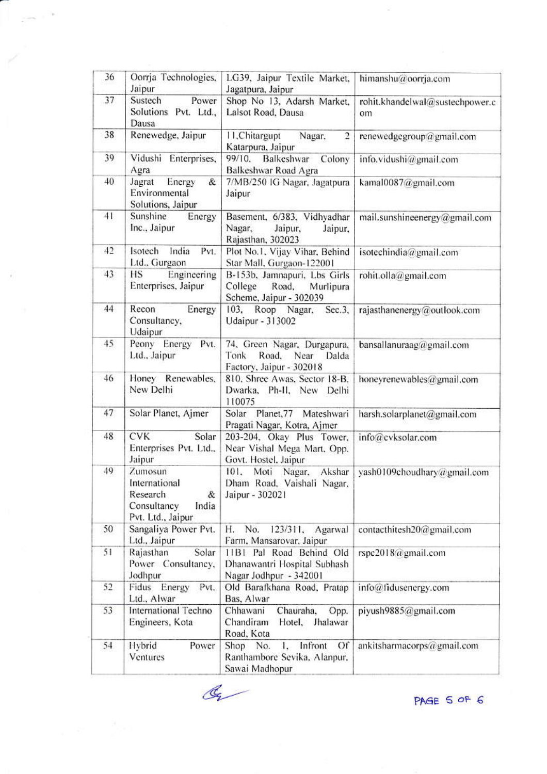| 36 | Oorrja Technologies,<br>Jaipur                                                         | LG39, Jaipur Textile Market,<br>Jagatpura, Jaipur                                        | himanshu@oorrja.com                   |
|----|----------------------------------------------------------------------------------------|------------------------------------------------------------------------------------------|---------------------------------------|
| 37 | Sustech<br>Power<br>Solutions Pvt. Ltd.,<br>Dausa                                      | Shop No 13, Adarsh Market,<br>Lalsot Road, Dausa                                         | rohit.khandelwal@sustechpower.c<br>om |
| 38 | Renewedge, Jaipur                                                                      | 11, Chitargupt<br>Nagar,<br>2<br>Katarpura, Jaipur                                       | renewedgegroup@gmail.com              |
| 39 | Vidushi<br>Enterprises,<br>Agra                                                        | 99/10, Balkeshwar<br>Colony<br>Balkeshwar Road Agra                                      | info.vidushi@gmail.com                |
| 40 | Energy<br>Jagrat<br>&<br>Environmental<br>Solutions, Jaipur                            | 7/MB/250 IG Nagar, Jagatpura<br>Jaipur                                                   | kamal0087@gmail.com                   |
| 41 | Sunshine<br>Energy<br>Inc., Jaipur                                                     | Basement, 6/383, Vidhyadhar<br>Nagar,<br>Jaipur,<br>Jaipur,<br>Rajasthan, 302023         | mail.sunshineenergy@gmail.com         |
| 42 | Isotech<br>India<br>Pvt.<br>Ltd., Gurgaon                                              | Plot No.1, Vijay Vihar, Behind<br>Star Mall, Gurgaon-122001                              | isotechindia@gmail.com                |
| 43 | Engineering<br><b>HS</b><br>Enterprises, Jaipur                                        | B-153b, Jamnapuri, Lbs Girls<br>Road,<br>College<br>Murlipura<br>Scheme, Jaipur - 302039 | rohit.olla@gmail.com                  |
| 44 | Recon<br>Energy<br>Consultancy,<br>Udaipur                                             | 103, Roop Nagar, Sec.3,<br>Udaipur - 313002                                              | rajasthanenergy@outlook.com           |
| 45 | Peony Energy<br>Pvt.<br>Ltd., Jaipur                                                   | 74, Green Nagar, Durgapura,<br>Road, Near<br>Tonk<br>Dalda<br>Factory, Jaipur - 302018   | bansallanuraag@gmail.com              |
| 46 | Honey Renewables,<br>New Delhi                                                         | 810, Shree Awas, Sector 18-B,<br>Dwarka, Ph-II, New Delhi<br>110075                      | honeyrenewables@gmail.com             |
| 47 | Solar Planet, Ajmer                                                                    | Solar Planet, 77 Mateshwari<br>Pragati Nagar, Kotra, Ajmer                               | harsh.solarplanet@gmail.com           |
| 48 | <b>CVK</b><br>Solar<br>Enterprises Pvt. Ltd.,<br>Jaipur                                | 203-204, Okay Plus Tower,<br>Near Vishal Mega Mart, Opp.<br>Govt. Hostel, Jaipur         | info@cvksolar.com                     |
| 49 | Zumosun<br>International<br>Research<br>&<br>Consultancy<br>India<br>Pvt. Ltd., Jaipur | 101.<br>Moti Nagar, Akshar<br>Dham Road, Vaishali Nagar,<br>Jaipur - 302021              | yash0109choudhary@gmail.com           |
| 50 | Sangaliya Power Pvt.<br>Ltd., Jaipur                                                   | No.<br>123/311.<br>Agarwal<br>Н.<br>Farm, Mansarovar, Jaipur                             | contacthitesh20@gmail.com             |
| 51 | Solar<br>Rajasthan<br>Power Consultancy,<br>Jodhpur                                    | 11B1 Pal Road Behind Old<br>Dhanawantri Hospital Subhash<br>Nagar Jodhpur - 342001       | rspc2018@gmail.com                    |
| 52 | Fidus Energy<br>Pvt.<br>Ltd., Alwar                                                    | Old Barafkhana Road, Pratap<br>Bas, Alwar                                                | info@fidusenergy.com                  |
| 53 | International Techno<br>Engineers, Kota                                                | Chhawani<br>Chauraha,<br>Opp.<br>Chandiram<br>Hotel,<br>Jhalawar<br>Road, Kota           | piyush9885@gmail.com                  |
| 54 | Hybrid<br>Power<br>Ventures                                                            | Infront<br>Of<br>Shop No.<br>Ι.<br>Ranthambore Sevika, Alanpur.<br>Sawai Madhopur        | ankitsharmacorps@gmail.com            |

 $\widetilde{\omega}$ 

 $\ll$ 

 $\vec{r}_j$ 

PAGE 5 OF 6